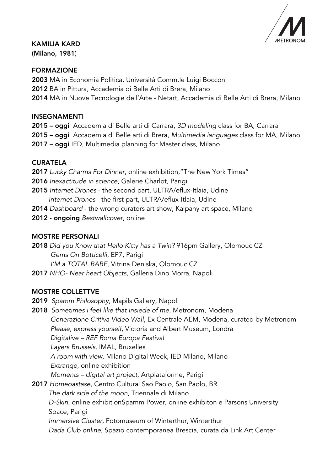

KAMILIA KARD (Milano, 1981)

### FORMAZIONE

2003 MA in Economia Politica, Università Comm.le Luigi Bocconi 2012 BA in Pittura, Accademia di Belle Arti di Brera, Milano 2014 MA in Nuove Tecnologie dell'Arte - Netart, Accademia di Belle Arti di Brera, Milano

### INSEGNAMENTI

- 2015 oggi Accademia di Belle arti di Carrara, *3D modeling* class for BA, Carrara
- 2015 oggi Accademia di Belle arti di Brera, *Multimedia languages* class for MA, Milano
- 2017 oggi IED, Multimedia planning for Master class, Milano

### **CURATELA**

- 2017 *Lucky Charms For Dinner*, online exhibition,"The New York Times"
- 2016 *Inexactitude in science*, Galerie Charlot, Parigi
- 2015 *Internet Drones*  the second part, ULTRA/eflux-Itlaia, Udine *Internet Drones* - the first part, ULTRA/eflux-Itlaia, Udine
- 2014 *Dashboard* the wrong curators art show, Kalpany art space, Milano
- 2012 ongoing *Bestwallcover*, online

## MOSTRE PERSONALI

2018 *Did you Know that Hello Kitty has a Twin?* 916pm Gallery, Olomouc CZ *Gems On Botticelli*, EP7, Parigi *I'M a TOTAL BABE*, Vitrina Deniska, Olomouc CZ

2017 *NHO- Near heart Objects,* Galleria Dino Morra, Napoli

### MOSTRE COLLETTVE

- 2019 *Spamm Philosophy,* Mapils Gallery, Napoli
- 2018 *Sometimes i feel like that insiede of me*, Metronom, Modena *Generazione Critiva Video Wall*, Ex Centrale AEM, Modena, curated by Metronom *Please, express yourself*, Victoria and Albert Museum, Londra  *Digitalive – REF Roma Europa Festival Layers Brussels*, IMAL, Bruxelles  *A room with view*, Milano Digital Week, IED Milano, Milano  *Extrange*, online exhibition *Moments – digital art project*, Artplataforme, Parigi 2017 *Homeoastase*, Centro Cultural Sao Paolo, San Paolo, BR *The dark side of the moon*, Triennale di Milano *D-Skin*, online exhibitionSpamm Power, online exhibiton e Parsons University Space, Parigi *Immersive Cluster*, Fotomuseum of Winterthur, Winterthur  *Dada Club online*, Spazio contemporanea Brescia, curata da Link Art Center